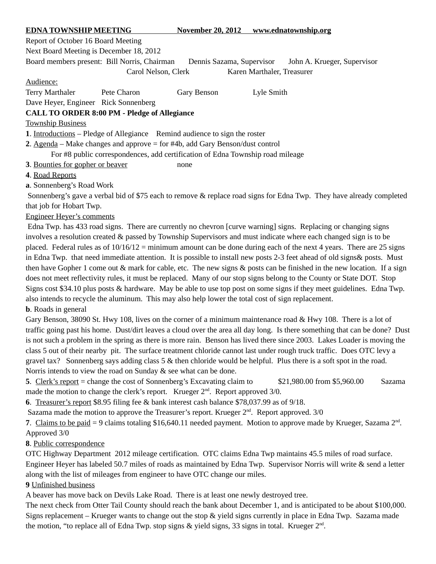| <b>EDNA TOWNSHIP MEETING</b>                                                                             |                     | <b>November 20, 2012</b> | www.ednatownship.org       |
|----------------------------------------------------------------------------------------------------------|---------------------|--------------------------|----------------------------|
| Report of October 16 Board Meeting                                                                       |                     |                          |                            |
| Next Board Meeting is December 18, 2012                                                                  |                     |                          |                            |
| Board members present: Bill Norris, Chairman<br>Dennis Sazama, Supervisor<br>John A. Krueger, Supervisor |                     |                          |                            |
|                                                                                                          | Carol Nelson, Clerk |                          | Karen Marthaler, Treasurer |
| Audience:                                                                                                |                     |                          |                            |
| <b>Terry Marthaler</b>                                                                                   | Pete Charon         | Gary Benson              | Lyle Smith                 |
| Dave Heyer, Engineer Rick Sonnenberg                                                                     |                     |                          |                            |
| <b>CALL TO ORDER 8:00 PM - Pledge of Allegiance</b>                                                      |                     |                          |                            |
| <b>Township Business</b>                                                                                 |                     |                          |                            |
| <b>1.</b> Introductions – Pledge of Allegiance Remind audience to sign the roster                        |                     |                          |                            |
| 2. Agenda – Make changes and approve = for #4b, add Gary Benson/dust control                             |                     |                          |                            |
| For #8 public correspondences, add certification of Edna Township road mileage                           |                     |                          |                            |
| 3. Bounties for gopher or beaver<br>none                                                                 |                     |                          |                            |
| 4. Road Reports                                                                                          |                     |                          |                            |

**a**. Sonnenberg's Road Work

 Sonnenberg's gave a verbal bid of \$75 each to remove & replace road signs for Edna Twp. They have already completed that job for Hobart Twp.

Engineer Heyer's comments

 Edna Twp. has 433 road signs. There are currently no chevron [curve warning] signs. Replacing or changing signs involves a resolution created & passed by Township Supervisors and must indicate where each changed sign is to be placed. Federal rules as of  $10/16/12$  = minimum amount can be done during each of the next 4 years. There are 25 signs in Edna Twp. that need immediate attention. It is possible to install new posts 2-3 feet ahead of old signs& posts. Must then have Gopher 1 come out & mark for cable, etc. The new signs & posts can be finished in the new location. If a sign does not meet reflectivity rules, it must be replaced. Many of our stop signs belong to the County or State DOT. Stop Signs cost \$34.10 plus posts & hardware. May be able to use top post on some signs if they meet guidelines. Edna Twp. also intends to recycle the aluminum. This may also help lower the total cost of sign replacement.

**b**. Roads in general

Gary Benson, 38090 St. Hwy 108, lives on the corner of a minimum maintenance road & Hwy 108. There is a lot of traffic going past his home. Dust/dirt leaves a cloud over the area all day long. Is there something that can be done? Dust is not such a problem in the spring as there is more rain. Benson has lived there since 2003. Lakes Loader is moving the class 5 out of their nearby pit. The surface treatment chloride cannot last under rough truck traffic. Does OTC levy a gravel tax? Sonnenberg says adding class 5 & then chloride would be helpful. Plus there is a soft spot in the road. Norris intends to view the road on Sunday & see what can be done.

**5.** Clerk's report = change the cost of Sonnenberg's Excavating claim to  $$21,980.00$  from \$5,960.00 Sazama made the motion to change the clerk's report. Krueger  $2<sup>nd</sup>$ . Report approved 3/0.

**6**. Treasurer's report \$8.95 filing fee & bank interest cash balance \$78,037.99 as of 9/18.

Sazama made the motion to approve the Treasurer's report. Krueger  $2<sup>nd</sup>$ . Report approved. 3/0

7. Claims to be paid = 9 claims totaling \$16,640.11 needed payment. Motion to approve made by Krueger, Sazama  $2<sup>nd</sup>$ . Approved 3/0

## **8**. Public correspondence

OTC Highway Department 2012 mileage certification. OTC claims Edna Twp maintains 45.5 miles of road surface. Engineer Heyer has labeled 50.7 miles of roads as maintained by Edna Twp. Supervisor Norris will write & send a letter along with the list of mileages from engineer to have OTC change our miles.

## **9** Unfinished business

A beaver has move back on Devils Lake Road. There is at least one newly destroyed tree.

The next check from Otter Tail County should reach the bank about December 1, and is anticipated to be about \$100,000. Signs replacement – Krueger wants to change out the stop & yield signs currently in place in Edna Twp. Sazama made the motion, "to replace all of Edna Twp. stop signs & yield signs, 33 signs in total. Krueger  $2<sup>nd</sup>$ .